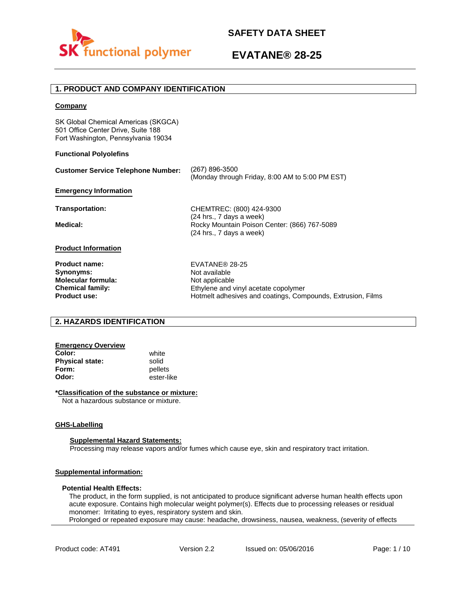

## **1. PRODUCT AND COMPANY IDENTIFICATION**

### **Company**

SK Global Chemical Americas (SKGCA) 501 Office Center Drive, Suite 188 Fort Washington, Pennsylvania 19034

### **Functional Polyolefins**

| <b>Customer Service Telephone Number:</b> | (267) 896-3500<br>(Monday through Friday, 8:00 AM to 5:00 PM EST)                                    |
|-------------------------------------------|------------------------------------------------------------------------------------------------------|
| <b>Emergency Information</b>              |                                                                                                      |
| Transportation:                           | CHEMTREC: (800) 424-9300                                                                             |
| Medical:                                  | (24 hrs., 7 days a week)<br>Rocky Mountain Poison Center: (866) 767-5089<br>(24 hrs., 7 days a week) |
| <b>Product Information</b>                |                                                                                                      |
| <b>Product name:</b>                      | EVATANE® 28-25                                                                                       |
| Synonyms:                                 | Not available                                                                                        |
| <b>Molecular formula:</b>                 | Not applicable                                                                                       |
| <b>Chemical family:</b>                   | Ethylene and vinyl acetate copolymer                                                                 |
| <b>Product use:</b>                       | Hotmelt adhesives and coatings, Compounds, Extrusion, Films                                          |

## **2. HAZARDS IDENTIFICATION**

## **Emergency Overview**

**Color:** white **Physical state:** solid<br> **Form:** nellet **Form:** pellets<br> **Odor:** ester-li

**Odor:** ester-like

### **\*Classification of the substance or mixture:**

Not a hazardous substance or mixture.

### **GHS-Labelling**

### **Supplemental Hazard Statements:**

Processing may release vapors and/or fumes which cause eye, skin and respiratory tract irritation.

### **Supplemental information:**

### **Potential Health Effects:**

The product, in the form supplied, is not anticipated to produce significant adverse human health effects upon acute exposure. Contains high molecular weight polymer(s). Effects due to processing releases or residual monomer: Irritating to eyes, respiratory system and skin. Prolonged or repeated exposure may cause: headache, drowsiness, nausea, weakness, (severity of effects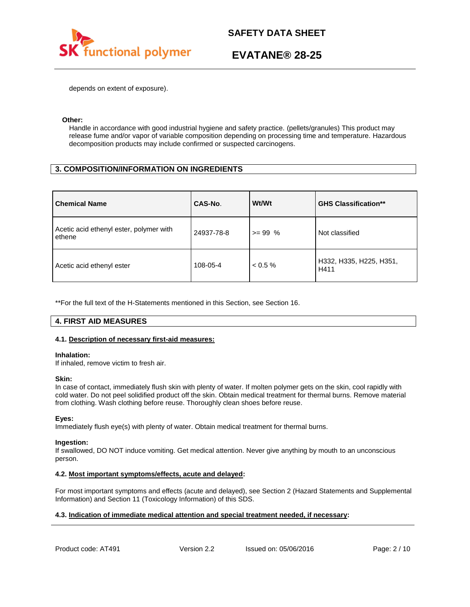

depends on extent of exposure).

### **Other:**

Handle in accordance with good industrial hygiene and safety practice. (pellets/granules) This product may release fume and/or vapor of variable composition depending on processing time and temperature. Hazardous decomposition products may include confirmed or suspected carcinogens.

## **3. COMPOSITION/INFORMATION ON INGREDIENTS**

| <b>Chemical Name</b>                              | CAS-No.    | Wt/Wt      | <b>GHS Classification**</b>     |
|---------------------------------------------------|------------|------------|---------------------------------|
| Acetic acid ethenyl ester, polymer with<br>ethene | 24937-78-8 | $>= 99\%$  | Not classified                  |
| Acetic acid ethenyl ester                         | 108-05-4   | $< 0.5 \%$ | H332, H335, H225, H351,<br>H411 |

\*\*For the full text of the H-Statements mentioned in this Section, see Section 16.

## **4. FIRST AID MEASURES**

### **4.1. Description of necessary first-aid measures:**

### **Inhalation:**

If inhaled, remove victim to fresh air.

### **Skin:**

In case of contact, immediately flush skin with plenty of water. If molten polymer gets on the skin, cool rapidly with cold water. Do not peel solidified product off the skin. Obtain medical treatment for thermal burns. Remove material from clothing. Wash clothing before reuse. Thoroughly clean shoes before reuse.

### **Eyes:**

Immediately flush eye(s) with plenty of water. Obtain medical treatment for thermal burns.

### **Ingestion:**

If swallowed, DO NOT induce vomiting. Get medical attention. Never give anything by mouth to an unconscious person.

### **4.2. Most important symptoms/effects, acute and delayed:**

For most important symptoms and effects (acute and delayed), see Section 2 (Hazard Statements and Supplemental Information) and Section 11 (Toxicology Information) of this SDS.

### **4.3. Indication of immediate medical attention and special treatment needed, if necessary:**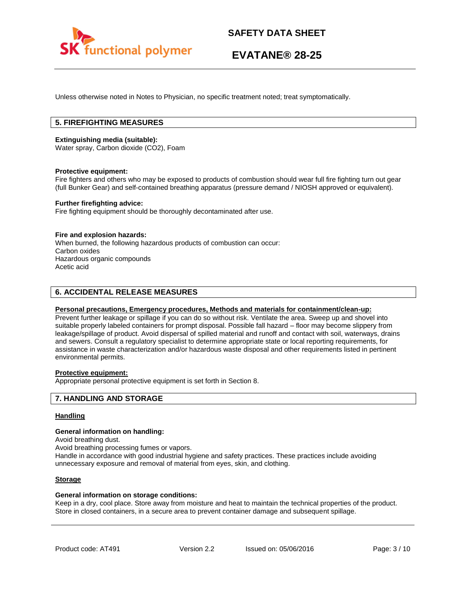

Unless otherwise noted in Notes to Physician, no specific treatment noted; treat symptomatically.

## **5. FIREFIGHTING MEASURES**

### **Extinguishing media (suitable):**

Water spray, Carbon dioxide (CO2), Foam

### **Protective equipment:**

Fire fighters and others who may be exposed to products of combustion should wear full fire fighting turn out gear (full Bunker Gear) and self-contained breathing apparatus (pressure demand / NIOSH approved or equivalent).

### **Further firefighting advice:**

Fire fighting equipment should be thoroughly decontaminated after use.

### **Fire and explosion hazards:**

When burned, the following hazardous products of combustion can occur: Carbon oxides Hazardous organic compounds Acetic acid

### **6. ACCIDENTAL RELEASE MEASURES**

### **Personal precautions, Emergency procedures, Methods and materials for containment/clean-up:**

Prevent further leakage or spillage if you can do so without risk. Ventilate the area. Sweep up and shovel into suitable properly labeled containers for prompt disposal. Possible fall hazard – floor may become slippery from leakage/spillage of product. Avoid dispersal of spilled material and runoff and contact with soil, waterways, drains and sewers. Consult a regulatory specialist to determine appropriate state or local reporting requirements, for assistance in waste characterization and/or hazardous waste disposal and other requirements listed in pertinent environmental permits.

## **Protective equipment:**

Appropriate personal protective equipment is set forth in Section 8.

### **7. HANDLING AND STORAGE**

### **Handling**

#### **General information on handling:**

Avoid breathing dust.

Avoid breathing processing fumes or vapors.

Handle in accordance with good industrial hygiene and safety practices. These practices include avoiding unnecessary exposure and removal of material from eyes, skin, and clothing.

### **Storage**

### **General information on storage conditions:**

Keep in a dry, cool place. Store away from moisture and heat to maintain the technical properties of the product. Store in closed containers, in a secure area to prevent container damage and subsequent spillage.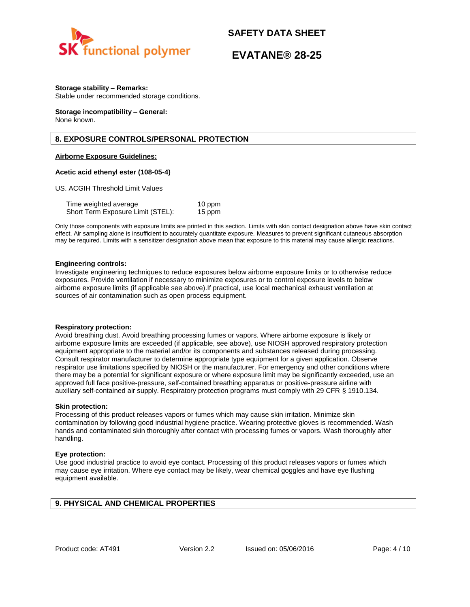

## **EVATANE® 28-25**

### **Storage stability – Remarks:**

Stable under recommended storage conditions.

#### **Storage incompatibility – General:**  None known.

### **8. EXPOSURE CONTROLS/PERSONAL PROTECTION**

### **Airborne Exposure Guidelines:**

### **Acetic acid ethenyl ester (108-05-4)**

US. ACGIH Threshold Limit Values

| Time weighted average             | 10 ppm |
|-----------------------------------|--------|
| Short Term Exposure Limit (STEL): | 15 ppm |

Only those components with exposure limits are printed in this section. Limits with skin contact designation above have skin contact effect. Air sampling alone is insufficient to accurately quantitate exposure. Measures to prevent significant cutaneous absorption may be required. Limits with a sensitizer designation above mean that exposure to this material may cause allergic reactions.

### **Engineering controls:**

Investigate engineering techniques to reduce exposures below airborne exposure limits or to otherwise reduce exposures. Provide ventilation if necessary to minimize exposures or to control exposure levels to below airborne exposure limits (if applicable see above).If practical, use local mechanical exhaust ventilation at sources of air contamination such as open process equipment.

### **Respiratory protection:**

Avoid breathing dust. Avoid breathing processing fumes or vapors. Where airborne exposure is likely or airborne exposure limits are exceeded (if applicable, see above), use NIOSH approved respiratory protection equipment appropriate to the material and/or its components and substances released during processing. Consult respirator manufacturer to determine appropriate type equipment for a given application. Observe respirator use limitations specified by NIOSH or the manufacturer. For emergency and other conditions where there may be a potential for significant exposure or where exposure limit may be significantly exceeded, use an approved full face positive-pressure, self-contained breathing apparatus or positive-pressure airline with auxiliary self-contained air supply. Respiratory protection programs must comply with 29 CFR § 1910.134.

### **Skin protection:**

Processing of this product releases vapors or fumes which may cause skin irritation. Minimize skin contamination by following good industrial hygiene practice. Wearing protective gloves is recommended. Wash hands and contaminated skin thoroughly after contact with processing fumes or vapors. Wash thoroughly after handling.

### **Eye protection:**

Use good industrial practice to avoid eye contact. Processing of this product releases vapors or fumes which may cause eye irritation. Where eye contact may be likely, wear chemical goggles and have eye flushing equipment available.

## **9. PHYSICAL AND CHEMICAL PROPERTIES**

Product code: AT491 Version 2.2 Issued on: 05/06/2016 Page: 4/10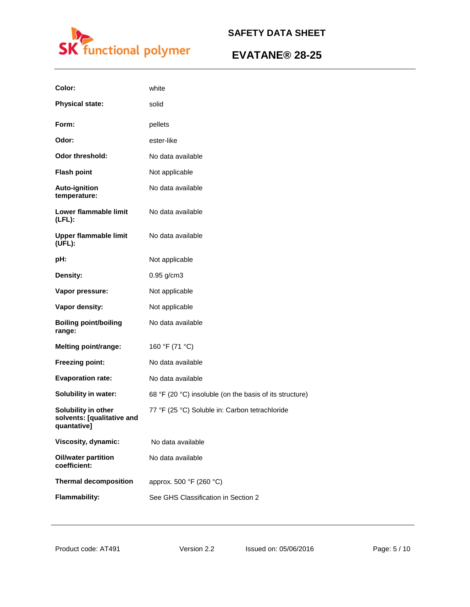

| Color:                                                           | white                                                   |
|------------------------------------------------------------------|---------------------------------------------------------|
| <b>Physical state:</b>                                           | solid                                                   |
| Form:                                                            | pellets                                                 |
| Odor:                                                            | ester-like                                              |
| <b>Odor threshold:</b>                                           | No data available                                       |
| <b>Flash point</b>                                               | Not applicable                                          |
| <b>Auto-ignition</b><br>temperature:                             | No data available                                       |
| Lower flammable limit<br>$(LFL)$ :                               | No data available                                       |
| <b>Upper flammable limit</b><br>(UFL):                           | No data available                                       |
| pH:                                                              | Not applicable                                          |
| Density:                                                         | $0.95$ g/cm3                                            |
| Vapor pressure:                                                  | Not applicable                                          |
| Vapor density:                                                   | Not applicable                                          |
| <b>Boiling point/boiling</b><br>range:                           | No data available                                       |
| <b>Melting point/range:</b>                                      | 160 °F (71 °C)                                          |
| Freezing point:                                                  | No data available                                       |
| <b>Evaporation rate:</b>                                         | No data available                                       |
| <b>Solubility in water:</b>                                      | 68 °F (20 °C) insoluble (on the basis of its structure) |
| Solubility in other<br>solvents: [qualitative and<br>quantative] | 77 °F (25 °C) Soluble in: Carbon tetrachloride          |
| Viscosity, dynamic:                                              | No data available                                       |
| <b>Oil/water partition</b><br>coefficient:                       | No data available                                       |
| <b>Thermal decomposition</b>                                     | approx. 500 °F (260 °C)                                 |
| <b>Flammability:</b>                                             | See GHS Classification in Section 2                     |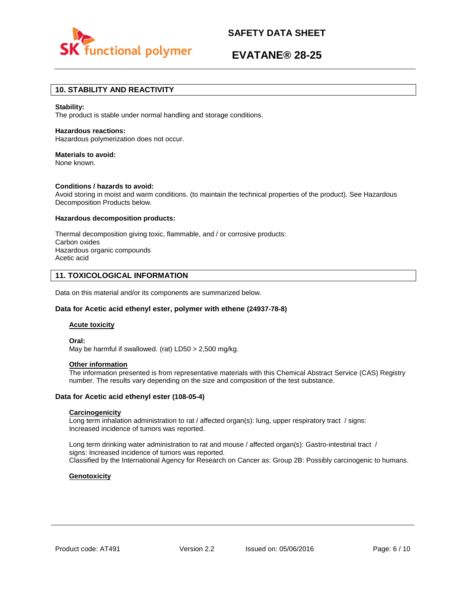



## **10. STABILITY AND REACTIVITY**

#### **Stability:**

The product is stable under normal handling and storage conditions.

#### **Hazardous reactions:**

Hazardous polymerization does not occur.

## **Materials to avoid:**

None known.

### **Conditions / hazards to avoid:**

Avoid storing in moist and warm conditions. (to maintain the technical properties of the product). See Hazardous Decomposition Products below.

### **Hazardous decomposition products:**

Thermal decomposition giving toxic, flammable, and / or corrosive products: Carbon oxides Hazardous organic compounds Acetic acid

### **11. TOXICOLOGICAL INFORMATION**

Data on this material and/or its components are summarized below.

### **Data for Acetic acid ethenyl ester, polymer with ethene (24937-78-8)**

### **Acute toxicity**

**Oral:**

May be harmful if swallowed. (rat) LD50 > 2,500 mg/kg.

### **Other information**

The information presented is from representative materials with this Chemical Abstract Service (CAS) Registry number. The results vary depending on the size and composition of the test substance.

### **Data for Acetic acid ethenyl ester (108-05-4)**

### **Carcinogenicity**

Long term inhalation administration to rat / affected organ(s): lung, upper respiratory tract / signs: Increased incidence of tumors was reported.

Long term drinking water administration to rat and mouse / affected organ(s): Gastro-intestinal tract / signs: Increased incidence of tumors was reported. Classified by the International Agency for Research on Cancer as: Group 2B: Possibly carcinogenic to humans.

### **Genotoxicity**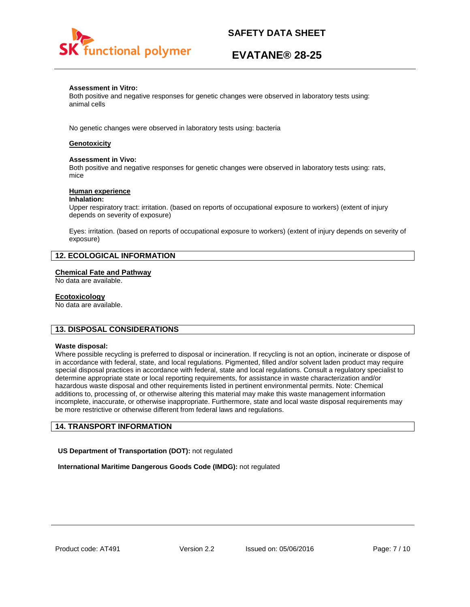

# **EVATANE® 28-25**

### **Assessment in Vitro:**

Both positive and negative responses for genetic changes were observed in laboratory tests using: animal cells

No genetic changes were observed in laboratory tests using: bacteria

### **Genotoxicity**

### **Assessment in Vivo:**

Both positive and negative responses for genetic changes were observed in laboratory tests using: rats, mice

### **Human experience**

### **Inhalation:**

Upper respiratory tract: irritation. (based on reports of occupational exposure to workers) (extent of injury depends on severity of exposure)

Eyes: irritation. (based on reports of occupational exposure to workers) (extent of injury depends on severity of exposure)

### **12. ECOLOGICAL INFORMATION**

### **Chemical Fate and Pathway**

No data are available.

### **Ecotoxicology**

No data are available.

### **13. DISPOSAL CONSIDERATIONS**

### **Waste disposal:**

Where possible recycling is preferred to disposal or incineration. If recycling is not an option, incinerate or dispose of in accordance with federal, state, and local regulations. Pigmented, filled and/or solvent laden product may require special disposal practices in accordance with federal, state and local regulations. Consult a regulatory specialist to determine appropriate state or local reporting requirements, for assistance in waste characterization and/or hazardous waste disposal and other requirements listed in pertinent environmental permits. Note: Chemical additions to, processing of, or otherwise altering this material may make this waste management information incomplete, inaccurate, or otherwise inappropriate. Furthermore, state and local waste disposal requirements may be more restrictive or otherwise different from federal laws and regulations.

### **14. TRANSPORT INFORMATION**

**US Department of Transportation (DOT):** not regulated

**International Maritime Dangerous Goods Code (IMDG):** not regulated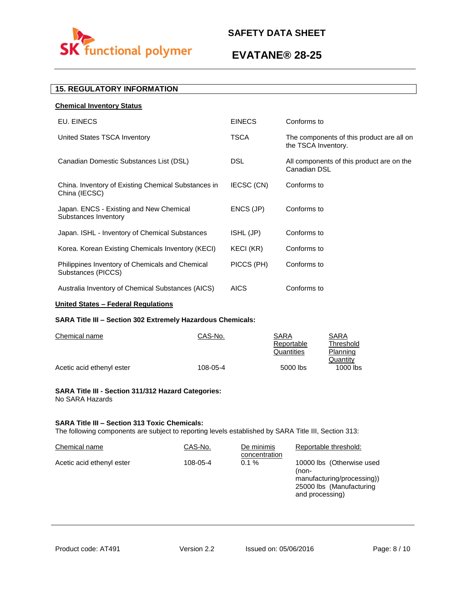

# **EVATANE® 28-25**

## **15. REGULATORY INFORMATION**

| <b>EINECS</b> | Conforms to                                                      |
|---------------|------------------------------------------------------------------|
| TSCA          | The components of this product are all on<br>the TSCA Inventory. |
| <b>DSL</b>    | All components of this product are on the<br>Canadian DSL        |
| IECSC (CN)    | Conforms to                                                      |
| ENCS (JP)     | Conforms to                                                      |
| ISHL (JP)     | Conforms to                                                      |
| KECI (KR)     | Conforms to                                                      |
| PICCS (PH)    | Conforms to                                                      |
| <b>AICS</b>   | Conforms to                                                      |
|               |                                                                  |

## **United States – Federal Regulations**

### **SARA Title III – Section 302 Extremely Hazardous Chemicals:**

| Chemical name             | CAS-No.  | SARA       | SARA      |
|---------------------------|----------|------------|-----------|
|                           |          | Reportable | Threshold |
|                           |          | Quantities | Planning  |
|                           |          |            | Quantity  |
| Acetic acid ethenyl ester | 108-05-4 | 5000 lbs   | 1000 lbs  |

### **SARA Title III - Section 311/312 Hazard Categories:**  No SARA Hazards

### **SARA Title III – Section 313 Toxic Chemicals:**

The following components are subject to reporting levels established by SARA Title III, Section 313:

| Chemical name             | CAS-No.  | De minimis<br>concentration | Reportable threshold:                                                                                           |
|---------------------------|----------|-----------------------------|-----------------------------------------------------------------------------------------------------------------|
| Acetic acid ethenyl ester | 108-05-4 | $0.1 \%$                    | 10000 lbs (Otherwise used<br>(non-<br>manufacturing/processing))<br>25000 lbs (Manufacturing<br>and processing) |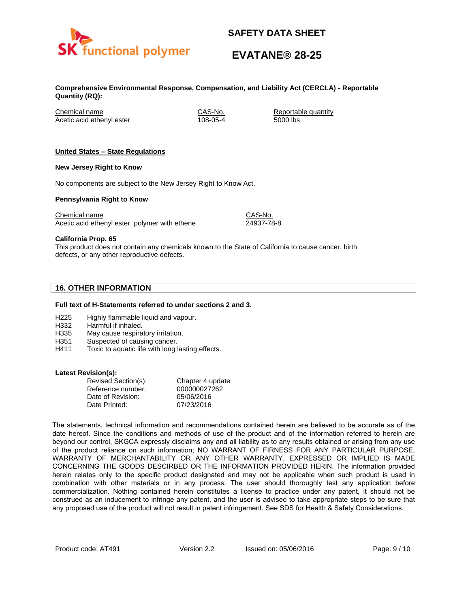

# **EVATANE® 28-25**

**Comprehensive Environmental Response, Compensation, and Liability Act (CERCLA) - Reportable Quantity (RQ):**

Chemical name CAS-No. Reportable quantity Acetic acid ethenyl ester 108-05-4 5000 lbs

### **United States – State Regulations**

### **New Jersey Right to Know**

No components are subject to the New Jersey Right to Know Act.

### **Pennsylvania Right to Know**

Chemical name Chemical name CAS-No. Acetic acid ethenyl ester, polymer with ethene 24937-78-8

**California Prop. 65**

This product does not contain any chemicals known to the State of California to cause cancer, birth defects, or any other reproductive defects.

## **16. OTHER INFORMATION**

### **Full text of H-Statements referred to under sections 2 and 3.**

- H225 Highly flammable liquid and vapour.
- H332 Harmful if inhaled.
- H335 May cause respiratory irritation.
- H351 Suspected of causing cancer.
- H411 Toxic to aquatic life with long lasting effects.

### **Latest Revision(s):**

| Revised Section(s): | Chapter 4 update |
|---------------------|------------------|
| Reference number:   | 000000027262     |
| Date of Revision:   | 05/06/2016       |
| Date Printed:       | 07/23/2016       |

The statements, technical information and recommendations contained herein are believed to be accurate as of the date hereof. Since the conditions and methods of use of the product and of the information referred to herein are beyond our control, SKGCA expressly disclaims any and all liability as to any results obtained or arising from any use of the product reliance on such information; NO WARRANT OF FIRNESS FOR ANY PARTICULAR PURPOSE, WARRANTY OF MERCHANTABILITY OR ANY OTHER WARRANTY, EXPRESSED OR IMPLIED IS MADE CONCERNING THE GOODS DESCIRBED OR THE INFORMATION PROVIDED HERIN. The information provided herein relates only to the specific product designated and may not be applicable when such product is used in combination with other materials or in any process. The user should thoroughly test any application before commercialization. Nothing contained herein constitutes a license to practice under any patent, it should not be construed as an inducement to infringe any patent, and the user is advised to take appropriate steps to be sure that any proposed use of the product will not result in patent infringement. See SDS for Health & Safety Considerations.